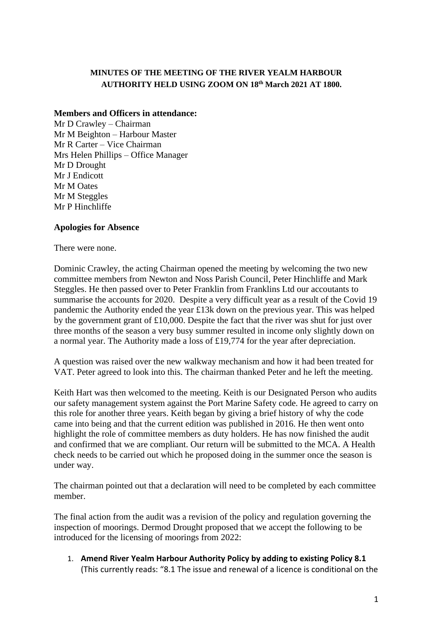# **MINUTES OF THE MEETING OF THE RIVER YEALM HARBOUR AUTHORITY HELD USING ZOOM ON 18th March 2021 AT 1800.**

## **Members and Officers in attendance:**

Mr D Crawley – Chairman Mr M Beighton – Harbour Master Mr R Carter – Vice Chairman Mrs Helen Phillips – Office Manager Mr D Drought Mr J Endicott Mr M Oates Mr M Steggles Mr P Hinchliffe

## **Apologies for Absence**

There were none.

Dominic Crawley, the acting Chairman opened the meeting by welcoming the two new committee members from Newton and Noss Parish Council, Peter Hinchliffe and Mark Steggles. He then passed over to Peter Franklin from Franklins Ltd our accoutants to summarise the accounts for 2020. Despite a very difficult year as a result of the Covid 19 pandemic the Authority ended the year £13k down on the previous year. This was helped by the government grant of £10,000. Despite the fact that the river was shut for just over three months of the season a very busy summer resulted in income only slightly down on a normal year. The Authority made a loss of £19,774 for the year after depreciation.

A question was raised over the new walkway mechanism and how it had been treated for VAT. Peter agreed to look into this. The chairman thanked Peter and he left the meeting.

Keith Hart was then welcomed to the meeting. Keith is our Designated Person who audits our safety management system against the Port Marine Safety code. He agreed to carry on this role for another three years. Keith began by giving a brief history of why the code came into being and that the current edition was published in 2016. He then went onto highlight the role of committee members as duty holders. He has now finished the audit and confirmed that we are compliant. Our return will be submitted to the MCA. A Health check needs to be carried out which he proposed doing in the summer once the season is under way.

The chairman pointed out that a declaration will need to be completed by each committee member.

The final action from the audit was a revision of the policy and regulation governing the inspection of moorings. Dermod Drought proposed that we accept the following to be introduced for the licensing of moorings from 2022:

1. **Amend River Yealm Harbour Authority Policy by adding to existing Policy 8.1**  (This currently reads: "8.1 The issue and renewal of a licence is conditional on the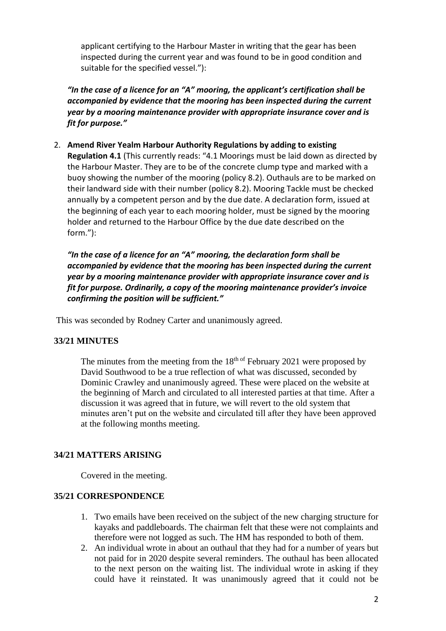applicant certifying to the Harbour Master in writing that the gear has been inspected during the current year and was found to be in good condition and suitable for the specified vessel."):

*"In the case of a licence for an "A" mooring, the applicant's certification shall be accompanied by evidence that the mooring has been inspected during the current year by a mooring maintenance provider with appropriate insurance cover and is fit for purpose."* 

2. **Amend River Yealm Harbour Authority Regulations by adding to existing Regulation 4.1** (This currently reads: "4.1 Moorings must be laid down as directed by the Harbour Master. They are to be of the concrete clump type and marked with a buoy showing the number of the mooring (policy 8.2). Outhauls are to be marked on their landward side with their number (policy 8.2). Mooring Tackle must be checked annually by a competent person and by the due date. A declaration form, issued at the beginning of each year to each mooring holder, must be signed by the mooring holder and returned to the Harbour Office by the due date described on the form."):

*"In the case of a licence for an "A" mooring, the declaration form shall be accompanied by evidence that the mooring has been inspected during the current year by a mooring maintenance provider with appropriate insurance cover and is fit for purpose. Ordinarily, a copy of the mooring maintenance provider's invoice confirming the position will be sufficient."*

This was seconded by Rodney Carter and unanimously agreed.

## **33/21 MINUTES**

The minutes from the meeting from the  $18<sup>th of</sup>$  February 2021 were proposed by David Southwood to be a true reflection of what was discussed, seconded by Dominic Crawley and unanimously agreed. These were placed on the website at the beginning of March and circulated to all interested parties at that time. After a discussion it was agreed that in future, we will revert to the old system that minutes aren't put on the website and circulated till after they have been approved at the following months meeting.

## **34/21 MATTERS ARISING**

Covered in the meeting.

## **35/21 CORRESPONDENCE**

- 1. Two emails have been received on the subject of the new charging structure for kayaks and paddleboards. The chairman felt that these were not complaints and therefore were not logged as such. The HM has responded to both of them.
- 2. An individual wrote in about an outhaul that they had for a number of years but not paid for in 2020 despite several reminders. The outhaul has been allocated to the next person on the waiting list. The individual wrote in asking if they could have it reinstated. It was unanimously agreed that it could not be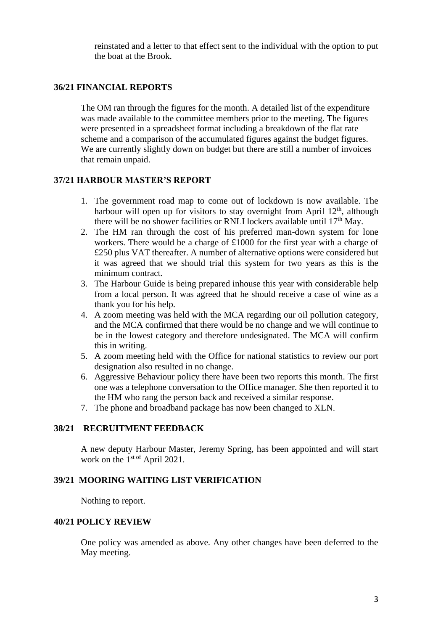reinstated and a letter to that effect sent to the individual with the option to put the boat at the Brook.

## **36/21 FINANCIAL REPORTS**

The OM ran through the figures for the month. A detailed list of the expenditure was made available to the committee members prior to the meeting. The figures were presented in a spreadsheet format including a breakdown of the flat rate scheme and a comparison of the accumulated figures against the budget figures. We are currently slightly down on budget but there are still a number of invoices that remain unpaid.

#### **37/21 HARBOUR MASTER'S REPORT**

- 1. The government road map to come out of lockdown is now available. The harbour will open up for visitors to stay overnight from April  $12<sup>th</sup>$ , although there will be no shower facilities or RNLI lockers available until  $17<sup>th</sup>$  May.
- 2. The HM ran through the cost of his preferred man-down system for lone workers. There would be a charge of £1000 for the first year with a charge of £250 plus VAT thereafter. A number of alternative options were considered but it was agreed that we should trial this system for two years as this is the minimum contract.
- 3. The Harbour Guide is being prepared inhouse this year with considerable help from a local person. It was agreed that he should receive a case of wine as a thank you for his help.
- 4. A zoom meeting was held with the MCA regarding our oil pollution category, and the MCA confirmed that there would be no change and we will continue to be in the lowest category and therefore undesignated. The MCA will confirm this in writing.
- 5. A zoom meeting held with the Office for national statistics to review our port designation also resulted in no change.
- 6. Aggressive Behaviour policy there have been two reports this month. The first one was a telephone conversation to the Office manager. She then reported it to the HM who rang the person back and received a similar response.
- 7. The phone and broadband package has now been changed to XLN.

## **38/21 RECRUITMENT FEEDBACK**

A new deputy Harbour Master, Jeremy Spring, has been appointed and will start work on the  $1<sup>st of</sup>$  April 2021.

#### **39/21 MOORING WAITING LIST VERIFICATION**

Nothing to report.

## **40/21 POLICY REVIEW**

One policy was amended as above. Any other changes have been deferred to the May meeting.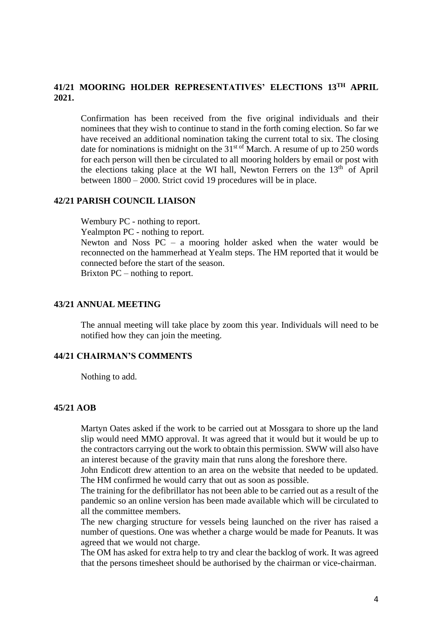# **41/21 MOORING HOLDER REPRESENTATIVES' ELECTIONS 13TH APRIL 2021.**

Confirmation has been received from the five original individuals and their nominees that they wish to continue to stand in the forth coming election. So far we have received an additional nomination taking the current total to six. The closing date for nominations is midnight on the  $31<sup>st of</sup> March$ . A resume of up to 250 words for each person will then be circulated to all mooring holders by email or post with the elections taking place at the WI hall, Newton Ferrers on the  $13<sup>th</sup>$  of April between 1800 – 2000. Strict covid 19 procedures will be in place.

#### **42/21 PARISH COUNCIL LIAISON**

Wembury PC - nothing to report.

Yealmpton PC - nothing to report.

Newton and Noss PC – a mooring holder asked when the water would be reconnected on the hammerhead at Yealm steps. The HM reported that it would be connected before the start of the season.

Brixton PC – nothing to report.

## **43/21 ANNUAL MEETING**

The annual meeting will take place by zoom this year. Individuals will need to be notified how they can join the meeting.

#### **44/21 CHAIRMAN'S COMMENTS**

Nothing to add.

## **45/21 AOB**

Martyn Oates asked if the work to be carried out at Mossgara to shore up the land slip would need MMO approval. It was agreed that it would but it would be up to the contractors carrying out the work to obtain this permission. SWW will also have an interest because of the gravity main that runs along the foreshore there.

John Endicott drew attention to an area on the website that needed to be updated. The HM confirmed he would carry that out as soon as possible.

The training for the defibrillator has not been able to be carried out as a result of the pandemic so an online version has been made available which will be circulated to all the committee members.

The new charging structure for vessels being launched on the river has raised a number of questions. One was whether a charge would be made for Peanuts. It was agreed that we would not charge.

The OM has asked for extra help to try and clear the backlog of work. It was agreed that the persons timesheet should be authorised by the chairman or vice-chairman.